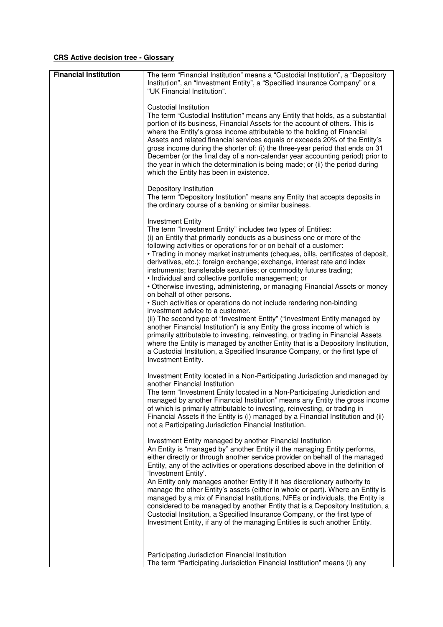## **CRS Active decision tree - Glossary**

| <b>Financial Institution</b> | The term "Financial Institution" means a "Custodial Institution", a "Depository                                                                                                                                                                                                                                                                                                                                                                                                                                                                                                                                                                                                                                                                                                                                                                                                                                                                                                                                                                                                                                                                                                                          |
|------------------------------|----------------------------------------------------------------------------------------------------------------------------------------------------------------------------------------------------------------------------------------------------------------------------------------------------------------------------------------------------------------------------------------------------------------------------------------------------------------------------------------------------------------------------------------------------------------------------------------------------------------------------------------------------------------------------------------------------------------------------------------------------------------------------------------------------------------------------------------------------------------------------------------------------------------------------------------------------------------------------------------------------------------------------------------------------------------------------------------------------------------------------------------------------------------------------------------------------------|
|                              | Institution", an "Investment Entity", a "Specified Insurance Company" or a<br>"UK Financial Institution".                                                                                                                                                                                                                                                                                                                                                                                                                                                                                                                                                                                                                                                                                                                                                                                                                                                                                                                                                                                                                                                                                                |
|                              | Custodial Institution<br>The term "Custodial Institution" means any Entity that holds, as a substantial<br>portion of its business, Financial Assets for the account of others. This is<br>where the Entity's gross income attributable to the holding of Financial<br>Assets and related financial services equals or exceeds 20% of the Entity's<br>gross income during the shorter of: (i) the three-year period that ends on 31<br>December (or the final day of a non-calendar year accounting period) prior to<br>the year in which the determination is being made; or (ii) the period during<br>which the Entity has been in existence.                                                                                                                                                                                                                                                                                                                                                                                                                                                                                                                                                          |
|                              | Depository Institution<br>The term "Depository Institution" means any Entity that accepts deposits in<br>the ordinary course of a banking or similar business.                                                                                                                                                                                                                                                                                                                                                                                                                                                                                                                                                                                                                                                                                                                                                                                                                                                                                                                                                                                                                                           |
|                              | <b>Investment Entity</b><br>The term "Investment Entity" includes two types of Entities:<br>(i) an Entity that primarily conducts as a business one or more of the<br>following activities or operations for or on behalf of a customer:<br>• Trading in money market instruments (cheques, bills, certificates of deposit,<br>derivatives, etc.); foreign exchange; exchange, interest rate and index<br>instruments; transferable securities; or commodity futures trading;<br>· Individual and collective portfolio management; or<br>• Otherwise investing, administering, or managing Financial Assets or money<br>on behalf of other persons.<br>• Such activities or operations do not include rendering non-binding<br>investment advice to a customer.<br>(ii) The second type of "Investment Entity" ("Investment Entity managed by<br>another Financial Institution") is any Entity the gross income of which is<br>primarily attributable to investing, reinvesting, or trading in Financial Assets<br>where the Entity is managed by another Entity that is a Depository Institution,<br>a Custodial Institution, a Specified Insurance Company, or the first type of<br>Investment Entity. |
|                              | Investment Entity located in a Non-Participating Jurisdiction and managed by<br>another Financial Institution<br>The term "Investment Entity located in a Non-Participating Jurisdiction and<br>managed by another Financial Institution" means any Entity the gross income<br>of which is primarily attributable to investing, reinvesting, or trading in<br>Financial Assets if the Entity is (i) managed by a Financial Institution and (ii)<br>not a Participating Jurisdiction Financial Institution.                                                                                                                                                                                                                                                                                                                                                                                                                                                                                                                                                                                                                                                                                               |
|                              | Investment Entity managed by another Financial Institution<br>An Entity is "managed by" another Entity if the managing Entity performs,<br>either directly or through another service provider on behalf of the managed<br>Entity, any of the activities or operations described above in the definition of<br>'Investment Entity'.<br>An Entity only manages another Entity if it has discretionary authority to                                                                                                                                                                                                                                                                                                                                                                                                                                                                                                                                                                                                                                                                                                                                                                                        |
|                              | manage the other Entity's assets (either in whole or part). Where an Entity is<br>managed by a mix of Financial Institutions, NFEs or individuals, the Entity is<br>considered to be managed by another Entity that is a Depository Institution, a<br>Custodial Institution, a Specified Insurance Company, or the first type of<br>Investment Entity, if any of the managing Entities is such another Entity.                                                                                                                                                                                                                                                                                                                                                                                                                                                                                                                                                                                                                                                                                                                                                                                           |
|                              | Participating Jurisdiction Financial Institution<br>The term "Participating Jurisdiction Financial Institution" means (i) any                                                                                                                                                                                                                                                                                                                                                                                                                                                                                                                                                                                                                                                                                                                                                                                                                                                                                                                                                                                                                                                                            |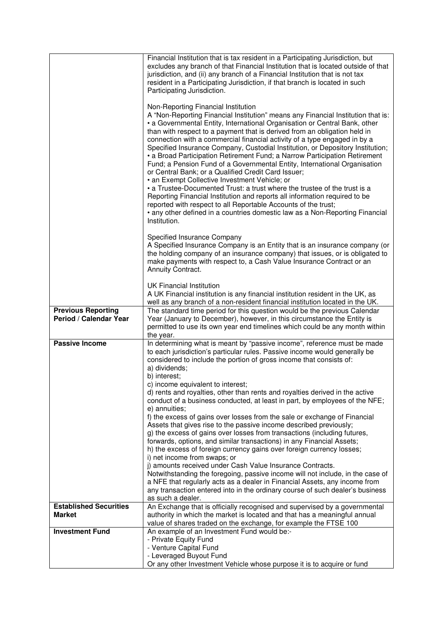|                                                     | Financial Institution that is tax resident in a Participating Jurisdiction, but<br>excludes any branch of that Financial Institution that is located outside of that<br>jurisdiction, and (ii) any branch of a Financial Institution that is not tax<br>resident in a Participating Jurisdiction, if that branch is located in such<br>Participating Jurisdiction.<br>Non-Reporting Financial Institution<br>A "Non-Reporting Financial Institution" means any Financial Institution that is:                                                                                             |
|-----------------------------------------------------|-------------------------------------------------------------------------------------------------------------------------------------------------------------------------------------------------------------------------------------------------------------------------------------------------------------------------------------------------------------------------------------------------------------------------------------------------------------------------------------------------------------------------------------------------------------------------------------------|
|                                                     | • a Governmental Entity, International Organisation or Central Bank, other<br>than with respect to a payment that is derived from an obligation held in<br>connection with a commercial financial activity of a type engaged in by a<br>Specified Insurance Company, Custodial Institution, or Depository Institution;<br>· a Broad Participation Retirement Fund; a Narrow Participation Retirement<br>Fund; a Pension Fund of a Governmental Entity, International Organisation<br>or Central Bank; or a Qualified Credit Card Issuer;<br>• an Exempt Collective Investment Vehicle; or |
|                                                     | • a Trustee-Documented Trust: a trust where the trustee of the trust is a<br>Reporting Financial Institution and reports all information required to be<br>reported with respect to all Reportable Accounts of the trust;<br>• any other defined in a countries domestic law as a Non-Reporting Financial<br>Institution.                                                                                                                                                                                                                                                                 |
|                                                     | Specified Insurance Company<br>A Specified Insurance Company is an Entity that is an insurance company (or<br>the holding company of an insurance company) that issues, or is obligated to<br>make payments with respect to, a Cash Value Insurance Contract or an<br>Annuity Contract.                                                                                                                                                                                                                                                                                                   |
|                                                     | <b>UK Financial Institution</b><br>A UK Financial institution is any financial institution resident in the UK, as<br>well as any branch of a non-resident financial institution located in the UK.                                                                                                                                                                                                                                                                                                                                                                                        |
| <b>Previous Reporting</b><br>Period / Calendar Year | The standard time period for this question would be the previous Calendar<br>Year (January to December), however, in this circumstance the Entity is<br>permitted to use its own year end timelines which could be any month within<br>the year.                                                                                                                                                                                                                                                                                                                                          |
| <b>Passive Income</b>                               | In determining what is meant by "passive income", reference must be made<br>to each jurisdiction's particular rules. Passive income would generally be<br>considered to include the portion of gross income that consists of:<br>a) dividends;<br>b) interest;                                                                                                                                                                                                                                                                                                                            |
|                                                     | c) income equivalent to interest;<br>d) rents and royalties, other than rents and royalties derived in the active<br>conduct of a business conducted, at least in part, by employees of the NFE;<br>e) annuities;                                                                                                                                                                                                                                                                                                                                                                         |
|                                                     | f) the excess of gains over losses from the sale or exchange of Financial<br>Assets that gives rise to the passive income described previously;<br>g) the excess of gains over losses from transactions (including futures,<br>forwards, options, and similar transactions) in any Financial Assets;<br>h) the excess of foreign currency gains over foreign currency losses;                                                                                                                                                                                                             |
|                                                     | i) net income from swaps; or<br>j) amounts received under Cash Value Insurance Contracts.<br>Notwithstanding the foregoing, passive income will not include, in the case of<br>a NFE that regularly acts as a dealer in Financial Assets, any income from<br>any transaction entered into in the ordinary course of such dealer's business<br>as such a dealer.                                                                                                                                                                                                                           |
| <b>Established Securities</b><br><b>Market</b>      | An Exchange that is officially recognised and supervised by a governmental<br>authority in which the market is located and that has a meaningful annual                                                                                                                                                                                                                                                                                                                                                                                                                                   |
|                                                     | value of shares traded on the exchange, for example the FTSE 100                                                                                                                                                                                                                                                                                                                                                                                                                                                                                                                          |
| <b>Investment Fund</b>                              | An example of an Investment Fund would be:-<br>- Private Equity Fund                                                                                                                                                                                                                                                                                                                                                                                                                                                                                                                      |
|                                                     | - Venture Capital Fund                                                                                                                                                                                                                                                                                                                                                                                                                                                                                                                                                                    |
|                                                     | - Leveraged Buyout Fund<br>Or any other Investment Vehicle whose purpose it is to acquire or fund                                                                                                                                                                                                                                                                                                                                                                                                                                                                                         |